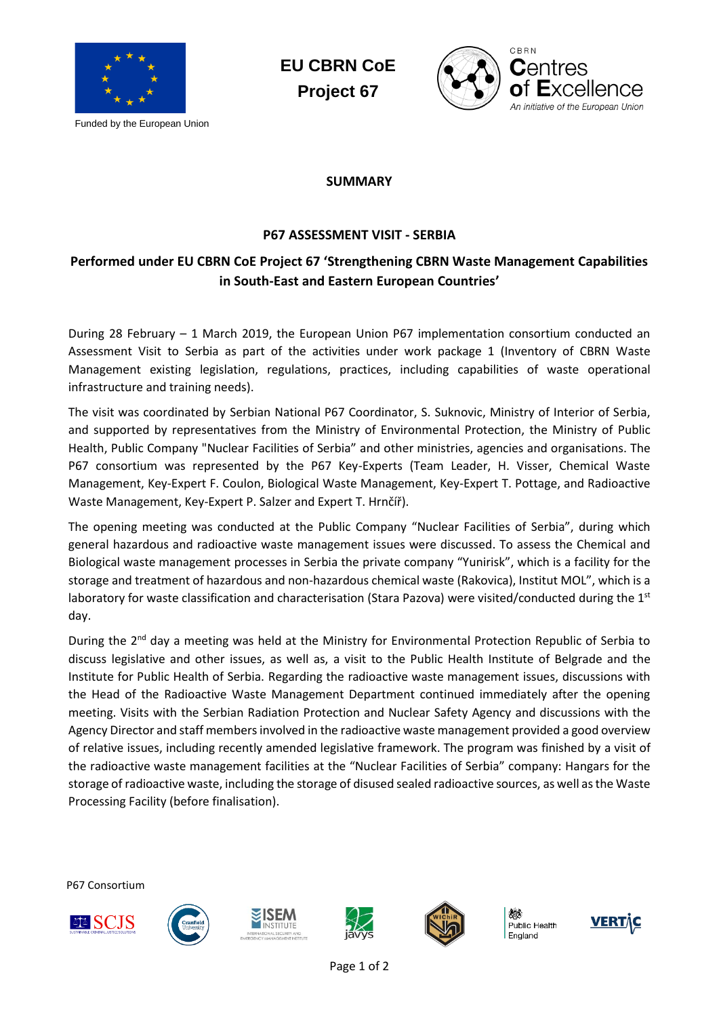

Funded by the European Union

**EU CBRN CoE Project 67**



## **SUMMARY**

## **P67 ASSESSMENT VISIT - SERBIA**

## **Performed under EU CBRN CoE Project 67 'Strengthening CBRN Waste Management Capabilities in South-East and Eastern European Countries'**

During 28 February – 1 March 2019, the European Union P67 implementation consortium conducted an Assessment Visit to Serbia as part of the activities under work package 1 (Inventory of CBRN Waste Management existing legislation, regulations, practices, including capabilities of waste operational infrastructure and training needs).

The visit was coordinated by Serbian National P67 Coordinator, S. Suknovic, Ministry of Interior of Serbia, and supported by representatives from the Ministry of Environmental Protection, the Ministry of Public Health, Public Company "Nuclear Facilities of Serbia" and other ministries, agencies and organisations. The P67 consortium was represented by the P67 Key-Experts (Team Leader, H. Visser, Chemical Waste Management, Key-Expert F. Coulon, Biological Waste Management, Key-Expert T. Pottage, and Radioactive Waste Management, Key-Expert P. Salzer and Expert T. Hrnčíř).

The opening meeting was conducted at the Public Company "Nuclear Facilities of Serbia", during which general hazardous and radioactive waste management issues were discussed. To assess the Chemical and Biological waste management processes in Serbia the private company "Yunirisk", which is a facility for the storage and treatment of hazardous and non-hazardous chemical waste (Rakovica), Institut MOL", which is a laboratory for waste classification and characterisation (Stara Pazova) were visited/conducted during the  $1<sup>st</sup>$ day.

During the 2<sup>nd</sup> day a meeting was held at the Ministry for Environmental Protection Republic of Serbia to discuss legislative and other issues, as well as, a visit to the Public Health Institute of Belgrade and the Institute for Public Health of Serbia. Regarding the radioactive waste management issues, discussions with the Head of the Radioactive Waste Management Department continued immediately after the opening meeting. Visits with the Serbian Radiation Protection and Nuclear Safety Agency and discussions with the Agency Director and staff members involved in the radioactive waste management provided a good overview of relative issues, including recently amended legislative framework. The program was finished by a visit of the radioactive waste management facilities at the "Nuclear Facilities of Serbia" company: Hangars for the storage of radioactive waste, including the storage of disused sealed radioactive sources, as well as the Waste Processing Facility (before finalisation).

P67 Consortium











Public Health England